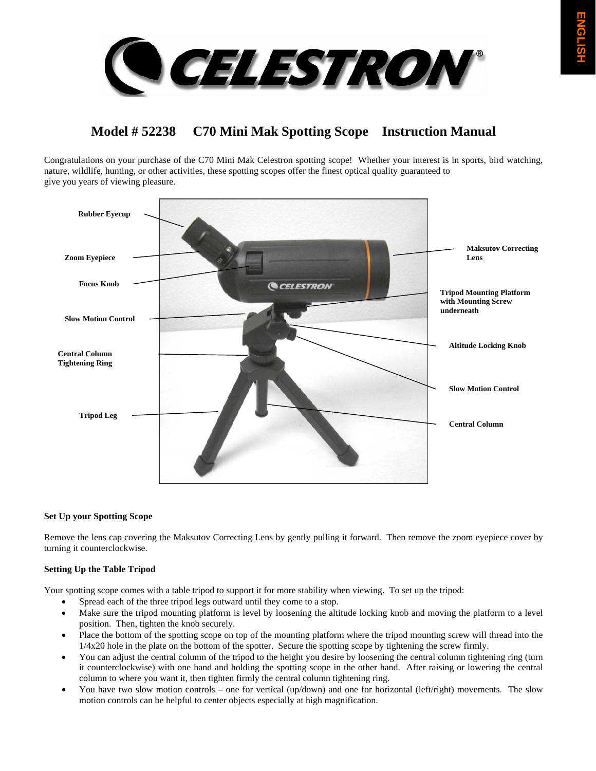



# **Model # 52238 C70 Mini Mak Spotting Scope Instruction Manual**

Congratulations on your purchase of the C70 Mini Mak Celestron spotting scope! Whether your interest is in sports, bird watching, nature, wildlife, hunting, or other activities, these spotting scopes offer the finest optical quality guaranteed to give you years of viewing pleasure.



# **Set Up your Spotting Scope**

Remove the lens cap covering the Maksutov Correcting Lens by gently pulling it forward. Then remove the zoom eyepiece cover by turning it counterclockwise.

# **Setting Up the Table Tripod**

Your spotting scope comes with a table tripod to support it for more stability when viewing. To set up the tripod:

- Spread each of the three tripod legs outward until they come to a stop.
- Make sure the tripod mounting platform is level by loosening the altitude locking knob and moving the platform to a level position. Then, tighten the knob securely.
- Place the bottom of the spotting scope on top of the mounting platform where the tripod mounting screw will thread into the 1/4x20 hole in the plate on the bottom of the spotter. Secure the spotting scope by tightening the screw firmly.
- You can adjust the central column of the tripod to the height you desire by loosening the central column tightening ring (turn it counterclockwise) with one hand and holding the spotting scope in the other hand. After raising or lowering the central column to where you want it, then tighten firmly the central column tightening ring.
- You have two slow motion controls one for vertical (up/down) and one for horizontal (left/right) movements. The slow motion controls can be helpful to center objects especially at high magnification.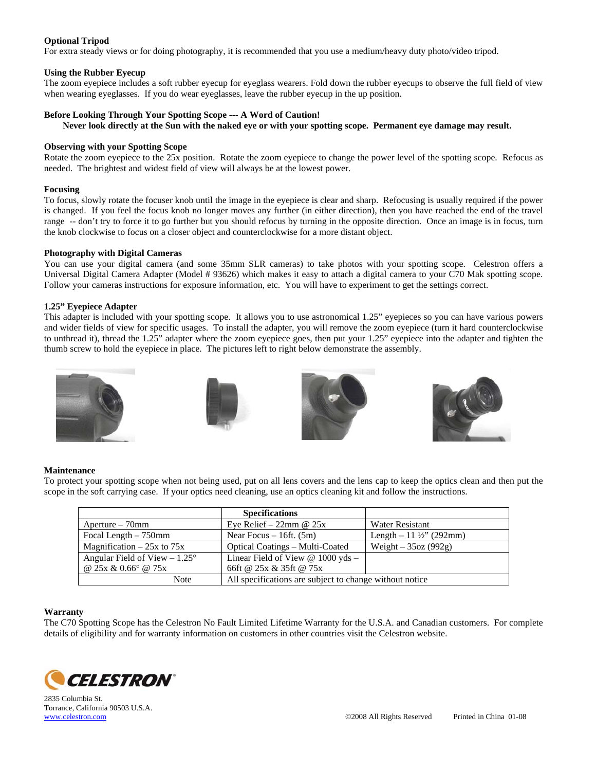## **Optional Tripod**

For extra steady views or for doing photography, it is recommended that you use a medium/heavy duty photo/video tripod.

### **Using the Rubber Eyecup**

The zoom eyepiece includes a soft rubber eyecup for eyeglass wearers. Fold down the rubber eyecups to observe the full field of view when wearing eyeglasses. If you do wear eyeglasses, leave the rubber eyecup in the up position.

## **Before Looking Through Your Spotting Scope --- A Word of Caution!**

 **Never look directly at the Sun with the naked eye or with your spotting scope. Permanent eye damage may result.** 

#### **Observing with your Spotting Scope**

Rotate the zoom eyepiece to the 25x position. Rotate the zoom eyepiece to change the power level of the spotting scope. Refocus as needed. The brightest and widest field of view will always be at the lowest power.

#### **Focusing**

To focus, slowly rotate the focuser knob until the image in the eyepiece is clear and sharp. Refocusing is usually required if the power is changed. If you feel the focus knob no longer moves any further (in either direction), then you have reached the end of the travel range -- don't try to force it to go further but you should refocus by turning in the opposite direction. Once an image is in focus, turn the knob clockwise to focus on a closer object and counterclockwise for a more distant object.

#### **Photography with Digital Cameras**

You can use your digital camera (and some 35mm SLR cameras) to take photos with your spotting scope. Celestron offers a Universal Digital Camera Adapter (Model # 93626) which makes it easy to attach a digital camera to your C70 Mak spotting scope. Follow your cameras instructions for exposure information, etc. You will have to experiment to get the settings correct.

## **1.25" Eyepiece Adapter**

This adapter is included with your spotting scope. It allows you to use astronomical 1.25" eyepieces so you can have various powers and wider fields of view for specific usages. To install the adapter, you will remove the zoom eyepiece (turn it hard counterclockwise to unthread it), thread the 1.25" adapter where the zoom eyepiece goes, then put your 1.25" eyepiece into the adapter and tighten the thumb screw to hold the eyepiece in place. The pictures left to right below demonstrate the assembly.









#### **Maintenance**

To protect your spotting scope when not being used, put on all lens covers and the lens cap to keep the optics clean and then put the scope in the soft carrying case. If your optics need cleaning, use an optics cleaning kit and follow the instructions.

|                                       | <b>Specifications</b>                                   |                                   |
|---------------------------------------|---------------------------------------------------------|-----------------------------------|
| $A$ perture $-70$ mm                  | Eye Relief $-22$ mm @ 25x                               | Water Resistant                   |
| Focal Length $-750$ mm                | Near Focus $-16$ ft. (5m)                               | Length $-11\frac{1}{2}$ " (292mm) |
| Magnification $-25x$ to 75x           | <b>Optical Coatings – Multi-Coated</b>                  | Weight $-35oz(992g)$              |
| Angular Field of View $-1.25^{\circ}$ | Linear Field of View $\omega$ 1000 yds –                |                                   |
| @ $25x \& 0.66^{\circ}$ @ 75x         | 66ft @ 25x & 35ft @ 75x                                 |                                   |
| Note                                  | All specifications are subject to change without notice |                                   |

#### **Warranty**

The C70 Spotting Scope has the Celestron No Fault Limited Lifetime Warranty for the U.S.A. and Canadian customers. For complete details of eligibility and for warranty information on customers in other countries visit the Celestron website.



2835 Columbia St. Torrance, California 90503 U.S.A.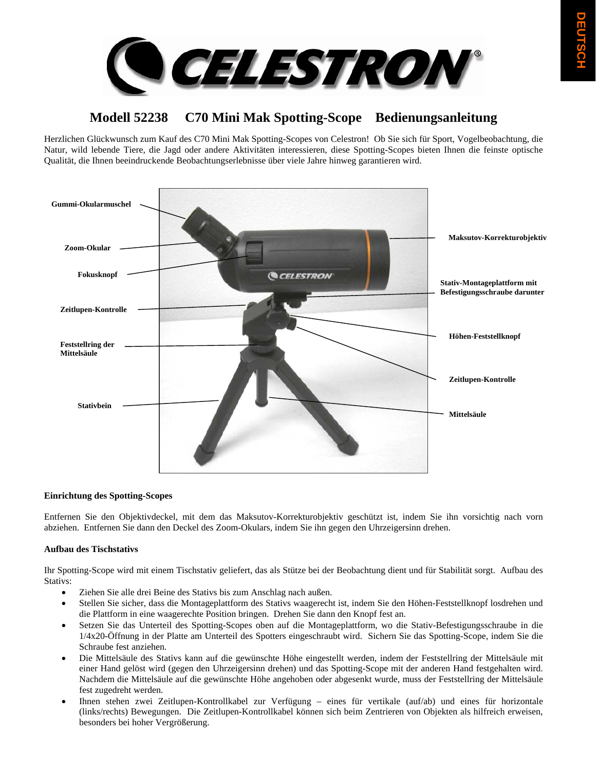

# **Modell 52238 C70 Mini Mak Spotting-Scope Bedienungsanleitung**

Herzlichen Glückwunsch zum Kauf des C70 Mini Mak Spotting-Scopes von Celestron! Ob Sie sich für Sport, Vogelbeobachtung, die Natur, wild lebende Tiere, die Jagd oder andere Aktivitäten interessieren, diese Spotting-Scopes bieten Ihnen die feinste optische Qualität, die Ihnen beeindruckende Beobachtungserlebnisse über viele Jahre hinweg garantieren wird.



# **Einrichtung des Spotting-Scopes**

Entfernen Sie den Objektivdeckel, mit dem das Maksutov-Korrekturobjektiv geschützt ist, indem Sie ihn vorsichtig nach vorn abziehen. Entfernen Sie dann den Deckel des Zoom-Okulars, indem Sie ihn gegen den Uhrzeigersinn drehen.

# **Aufbau des Tischstativs**

Ihr Spotting-Scope wird mit einem Tischstativ geliefert, das als Stütze bei der Beobachtung dient und für Stabilität sorgt. Aufbau des Stativs:

- Ziehen Sie alle drei Beine des Stativs bis zum Anschlag nach außen.
- Stellen Sie sicher, dass die Montageplattform des Stativs waagerecht ist, indem Sie den Höhen-Feststellknopf losdrehen und die Plattform in eine waagerechte Position bringen. Drehen Sie dann den Knopf fest an.
- Setzen Sie das Unterteil des Spotting-Scopes oben auf die Montageplattform, wo die Stativ-Befestigungsschraube in die 1/4x20-Öffnung in der Platte am Unterteil des Spotters eingeschraubt wird. Sichern Sie das Spotting-Scope, indem Sie die Schraube fest anziehen.
- Die Mittelsäule des Stativs kann auf die gewünschte Höhe eingestellt werden, indem der Feststellring der Mittelsäule mit einer Hand gelöst wird (gegen den Uhrzeigersinn drehen) und das Spotting-Scope mit der anderen Hand festgehalten wird. Nachdem die Mittelsäule auf die gewünschte Höhe angehoben oder abgesenkt wurde, muss der Feststellring der Mittelsäule fest zugedreht werden.
- Ihnen stehen zwei Zeitlupen-Kontrollkabel zur Verfügung eines für vertikale (auf/ab) und eines für horizontale (links/rechts) Bewegungen. Die Zeitlupen-Kontrollkabel können sich beim Zentrieren von Objekten als hilfreich erweisen, besonders bei hoher Vergrößerung.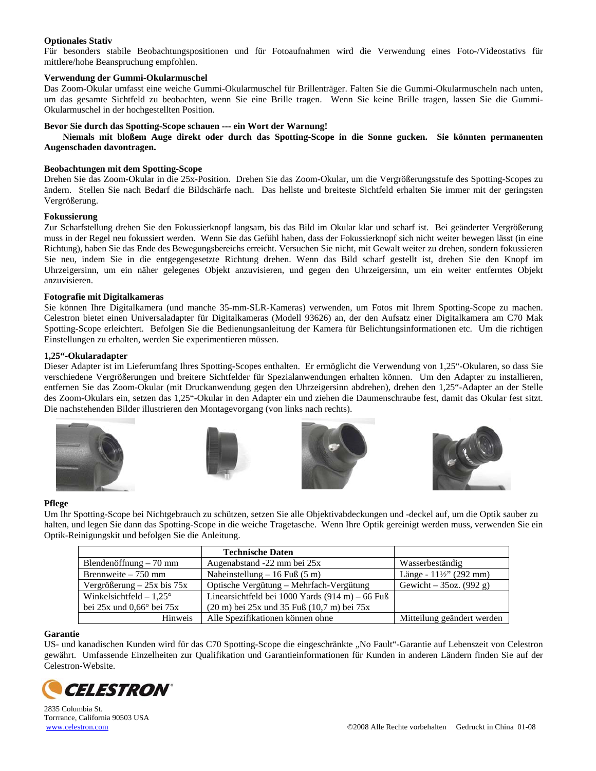## **Optionales Stativ**

Für besonders stabile Beobachtungspositionen und für Fotoaufnahmen wird die Verwendung eines Foto-/Videostativs für mittlere/hohe Beanspruchung empfohlen.

## **Verwendung der Gummi-Okularmuschel**

Das Zoom-Okular umfasst eine weiche Gummi-Okularmuschel für Brillenträger. Falten Sie die Gummi-Okularmuscheln nach unten, um das gesamte Sichtfeld zu beobachten, wenn Sie eine Brille tragen. Wenn Sie keine Brille tragen, lassen Sie die Gummi-Okularmuschel in der hochgestellten Position.

## **Bevor Sie durch das Spotting-Scope schauen --- ein Wort der Warnung!**

 **Niemals mit bloßem Auge direkt oder durch das Spotting-Scope in die Sonne gucken. Sie könnten permanenten Augenschaden davontragen.** 

## **Beobachtungen mit dem Spotting-Scope**

Drehen Sie das Zoom-Okular in die 25x-Position. Drehen Sie das Zoom-Okular, um die Vergrößerungsstufe des Spotting-Scopes zu ändern. Stellen Sie nach Bedarf die Bildschärfe nach. Das hellste und breiteste Sichtfeld erhalten Sie immer mit der geringsten Vergrößerung.

## **Fokussierung**

Zur Scharfstellung drehen Sie den Fokussierknopf langsam, bis das Bild im Okular klar und scharf ist. Bei geänderter Vergrößerung muss in der Regel neu fokussiert werden. Wenn Sie das Gefühl haben, dass der Fokussierknopf sich nicht weiter bewegen lässt (in eine Richtung), haben Sie das Ende des Bewegungsbereichs erreicht. Versuchen Sie nicht, mit Gewalt weiter zu drehen, sondern fokussieren Sie neu, indem Sie in die entgegengesetzte Richtung drehen. Wenn das Bild scharf gestellt ist, drehen Sie den Knopf im Uhrzeigersinn, um ein näher gelegenes Objekt anzuvisieren, und gegen den Uhrzeigersinn, um ein weiter entferntes Objekt anzuvisieren.

## **Fotografie mit Digitalkameras**

Sie können Ihre Digitalkamera (und manche 35-mm-SLR-Kameras) verwenden, um Fotos mit Ihrem Spotting-Scope zu machen. Celestron bietet einen Universaladapter für Digitalkameras (Modell 93626) an, der den Aufsatz einer Digitalkamera am C70 Mak Spotting-Scope erleichtert. Befolgen Sie die Bedienungsanleitung der Kamera für Belichtungsinformationen etc. Um die richtigen Einstellungen zu erhalten, werden Sie experimentieren müssen.

## **1,25"-Okularadapter**

Dieser Adapter ist im Lieferumfang Ihres Spotting-Scopes enthalten. Er ermöglicht die Verwendung von 1,25"-Okularen, so dass Sie verschiedene Vergrößerungen und breitere Sichtfelder für Spezialanwendungen erhalten können. Um den Adapter zu installieren, entfernen Sie das Zoom-Okular (mit Druckanwendung gegen den Uhrzeigersinn abdrehen), drehen den 1,25"-Adapter an der Stelle des Zoom-Okulars ein, setzen das 1,25"-Okular in den Adapter ein und ziehen die Daumenschraube fest, damit das Okular fest sitzt. Die nachstehenden Bilder illustrieren den Montagevorgang (von links nach rechts).









## **Pflege**

Um Ihr Spotting-Scope bei Nichtgebrauch zu schützen, setzen Sie alle Objektivabdeckungen und -deckel auf, um die Optik sauber zu halten, und legen Sie dann das Spotting-Scope in die weiche Tragetasche. Wenn Ihre Optik gereinigt werden muss, verwenden Sie ein Optik-Reinigungskit und befolgen Sie die Anleitung.

|                                        | <b>Technische Daten</b>                                           |                            |
|----------------------------------------|-------------------------------------------------------------------|----------------------------|
| Blendenöffnung $-70$ mm                | Augenabstand -22 mm bei 25x                                       | Wasserbeständig            |
| Brennweite $-750$ mm                   | Naheinstellung – 16 Fuß $(5 \text{ m})$                           | Länge - 11½" (292 mm)      |
| Vergrößerung $-25x$ bis 75x            | Optische Vergütung – Mehrfach-Vergütung                           | Gewicht – 35oz. $(992 g)$  |
| Winkelsichtfeld $-1,25^{\circ}$        | Linearsichtfeld bei 1000 Yards $(914 \text{ m}) - 66 \text{ FuB}$ |                            |
| bei $25x$ und $0.66^{\circ}$ bei $75x$ | (20 m) bei 25x und 35 Fuß (10,7 m) bei 75x                        |                            |
| <b>Hinweis</b>                         | Alle Spezifikationen können ohne                                  | Mitteilung geändert werden |

## **Garantie**

US- und kanadischen Kunden wird für das C70 Spotting-Scope die eingeschränkte "No Fault"-Garantie auf Lebenszeit von Celestron gewährt. Umfassende Einzelheiten zur Qualifikation und Garantieinformationen für Kunden in anderen Ländern finden Sie auf der Celestron-Website.



2835 Columbia St. Torrrance, California 90503 USA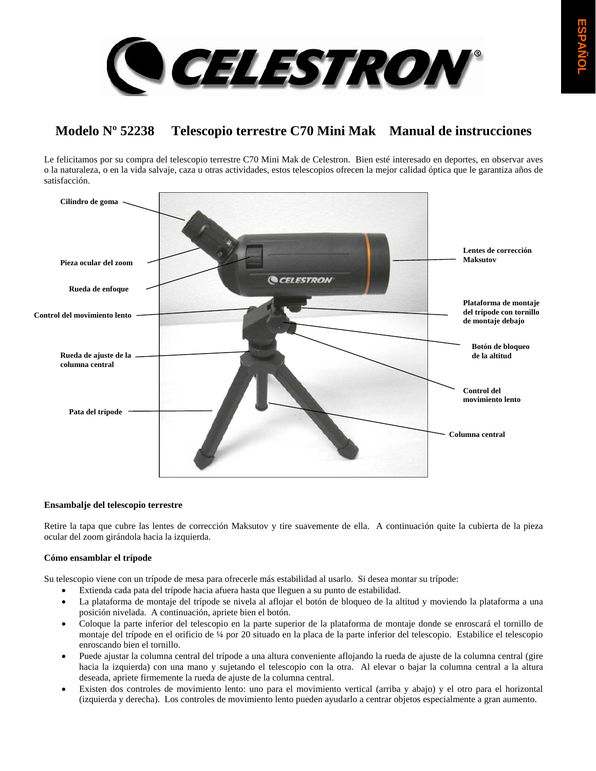

# **Modelo Nº 52238 Telescopio terrestre C70 Mini Mak Manual de instrucciones**

Le felicitamos por su compra del telescopio terrestre C70 Mini Mak de Celestron. Bien esté interesado en deportes, en observar aves o la naturaleza, o en la vida salvaje, caza u otras actividades, estos telescopios ofrecen la mejor calidad óptica que le garantiza años de satisfacción.



## **Ensambalje del telescopio terrestre**

Retire la tapa que cubre las lentes de corrección Maksutov y tire suavemente de ella. A continuación quite la cubierta de la pieza ocular del zoom girándola hacia la izquierda.

## **Cómo ensamblar el trípode**

Su telescopio viene con un trípode de mesa para ofrecerle más estabilidad al usarlo. Si desea montar su trípode:

- Extienda cada pata del trípode hacia afuera hasta que lleguen a su punto de estabilidad.
- La plataforma de montaje del trípode se nivela al aflojar el botón de bloqueo de la altitud y moviendo la plataforma a una posición nivelada. A continuación, apriete bien el botón.
- Coloque la parte inferior del telescopio en la parte superior de la plataforma de montaje donde se enroscará el tornillo de montaje del trípode en el orificio de ¼ por 20 situado en la placa de la parte inferior del telescopio. Estabilice el telescopio enroscando bien el tornillo.
- Puede ajustar la columna central del trípode a una altura conveniente aflojando la rueda de ajuste de la columna central (gire hacia la izquierda) con una mano y sujetando el telescopio con la otra. Al elevar o bajar la columna central a la altura deseada, apriete firmemente la rueda de ajuste de la columna central.
- Existen dos controles de movimiento lento: uno para el movimiento vertical (arriba y abajo) y el otro para el horizontal (izquierda y derecha). Los controles de movimiento lento pueden ayudarlo a centrar objetos especialmente a gran aumento.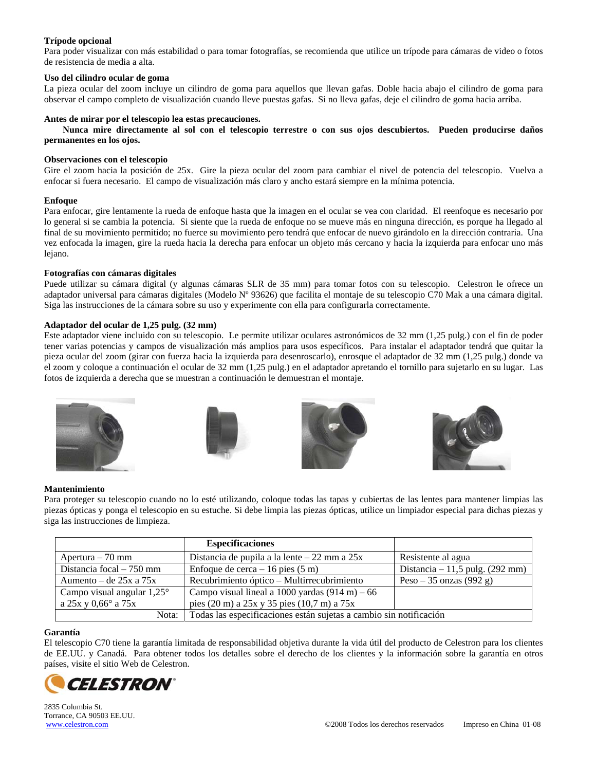# **Trípode opcional**

Para poder visualizar con más estabilidad o para tomar fotografías, se recomienda que utilice un trípode para cámaras de video o fotos de resistencia de media a alta.

## **Uso del cilindro ocular de goma**

La pieza ocular del zoom incluye un cilindro de goma para aquellos que llevan gafas. Doble hacia abajo el cilindro de goma para observar el campo completo de visualización cuando lleve puestas gafas. Si no lleva gafas, deje el cilindro de goma hacia arriba.

### **Antes de mirar por el telescopio lea estas precauciones.**

 **Nunca mire directamente al sol con el telescopio terrestre o con sus ojos descubiertos. Pueden producirse daños permanentes en los ojos.** 

#### **Observaciones con el telescopio**

Gire el zoom hacia la posición de 25x. Gire la pieza ocular del zoom para cambiar el nivel de potencia del telescopio. Vuelva a enfocar si fuera necesario. El campo de visualización más claro y ancho estará siempre en la mínima potencia.

## **Enfoque**

Para enfocar, gire lentamente la rueda de enfoque hasta que la imagen en el ocular se vea con claridad. El reenfoque es necesario por lo general si se cambia la potencia. Si siente que la rueda de enfoque no se mueve más en ninguna dirección, es porque ha llegado al final de su movimiento permitido; no fuerce su movimiento pero tendrá que enfocar de nuevo girándolo en la dirección contraria. Una vez enfocada la imagen, gire la rueda hacia la derecha para enfocar un objeto más cercano y hacia la izquierda para enfocar uno más lejano.

#### **Fotografías con cámaras digitales**

Puede utilizar su cámara digital (y algunas cámaras SLR de 35 mm) para tomar fotos con su telescopio. Celestron le ofrece un adaptador universal para cámaras digitales (Modelo Nº 93626) que facilita el montaje de su telescopio C70 Mak a una cámara digital. Siga las instrucciones de la cámara sobre su uso y experimente con ella para configurarla correctamente.

## **Adaptador del ocular de 1,25 pulg. (32 mm)**

Este adaptador viene incluido con su telescopio. Le permite utilizar oculares astronómicos de 32 mm (1,25 pulg.) con el fin de poder tener varias potencias y campos de visualización más amplios para usos específicos. Para instalar el adaptador tendrá que quitar la pieza ocular del zoom (girar con fuerza hacia la izquierda para desenroscarlo), enrosque el adaptador de 32 mm (1,25 pulg.) donde va el zoom y coloque a continuación el ocular de 32 mm (1,25 pulg.) en el adaptador apretando el tornillo para sujetarlo en su lugar. Las fotos de izquierda a derecha que se muestran a continuación le demuestran el montaje.









#### **Mantenimiento**

Para proteger su telescopio cuando no lo esté utilizando, coloque todas las tapas y cubiertas de las lentes para mantener limpias las piezas ópticas y ponga el telescopio en su estuche. Si debe limpia las piezas ópticas, utilice un limpiador especial para dichas piezas y siga las instrucciones de limpieza.

|                                     | <b>Especificaciones</b>                                            |                                 |
|-------------------------------------|--------------------------------------------------------------------|---------------------------------|
| Apertura $-70$ mm                   | Distancia de pupila a la lente $-22$ mm a $25x$                    | Resistente al agua              |
| Distancia focal $-750$ mm           | Enfoque de cerca – 16 pies $(5 \text{ m})$                         | Distancia – 11,5 pulg. (292 mm) |
| Aumento – de $25x$ a $75x$          | Recubrimiento óptico - Multirrecubrimiento                         | Peso – 35 onzas (992 g)         |
| Campo visual angular $1,25^{\circ}$ | Campo visual lineal a 1000 yardas $(914 \text{ m}) - 66$           |                                 |
| a 25x y 0,66 $^{\circ}$ a 75x       | pies (20 m) a 25x y 35 pies (10,7 m) a 75x                         |                                 |
| Nota:                               | Todas las especificaciones están sujetas a cambio sin notificación |                                 |

## **Garantía**

El telescopio C70 tiene la garantía limitada de responsabilidad objetiva durante la vida útil del producto de Celestron para los clientes de EE.UU. y Canadá. Para obtener todos los detalles sobre el derecho de los clientes y la información sobre la garantía en otros países, visite el sitio Web de Celestron.



2835 Columbia St. Torrance, CA 90503 EE.UU.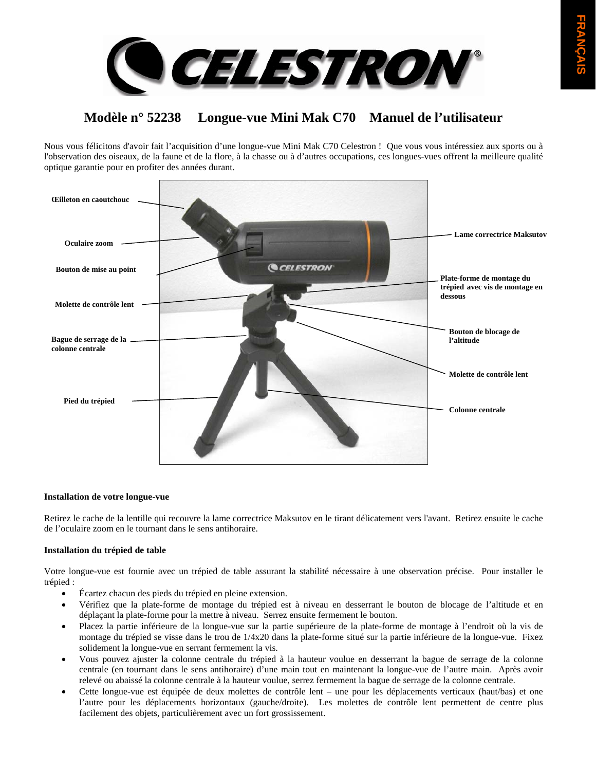

# **Modèle n° 52238 Longue-vue Mini Mak C70 Manuel de l'utilisateur**

Nous vous félicitons d'avoir fait l'acquisition d'une longue-vue Mini Mak C70 Celestron ! Que vous vous intéressiez aux sports ou à l'observation des oiseaux, de la faune et de la flore, à la chasse ou à d'autres occupations, ces longues-vues offrent la meilleure qualité optique garantie pour en profiter des années durant.



## **Installation de votre longue-vue**

Retirez le cache de la lentille qui recouvre la lame correctrice Maksutov en le tirant délicatement vers l'avant. Retirez ensuite le cache de l'oculaire zoom en le tournant dans le sens antihoraire.

# **Installation du trépied de table**

Votre longue-vue est fournie avec un trépied de table assurant la stabilité nécessaire à une observation précise. Pour installer le trépied :

- Écartez chacun des pieds du trépied en pleine extension.
- Vérifiez que la plate-forme de montage du trépied est à niveau en desserrant le bouton de blocage de l'altitude et en déplaçant la plate-forme pour la mettre à niveau. Serrez ensuite fermement le bouton.
- Placez la partie inférieure de la longue-vue sur la partie supérieure de la plate-forme de montage à l'endroit où la vis de montage du trépied se visse dans le trou de 1/4x20 dans la plate-forme situé sur la partie inférieure de la longue-vue. Fixez solidement la longue-vue en serrant fermement la vis.
- Vous pouvez ajuster la colonne centrale du trépied à la hauteur voulue en desserrant la bague de serrage de la colonne centrale (en tournant dans le sens antihoraire) d'une main tout en maintenant la longue-vue de l'autre main. Après avoir relevé ou abaissé la colonne centrale à la hauteur voulue, serrez fermement la bague de serrage de la colonne centrale.
- Cette longue-vue est équipée de deux molettes de contrôle lent une pour les déplacements verticaux (haut/bas) et one l'autre pour les déplacements horizontaux (gauche/droite). Les molettes de contrôle lent permettent de centre plus facilement des objets, particulièrement avec un fort grossissement.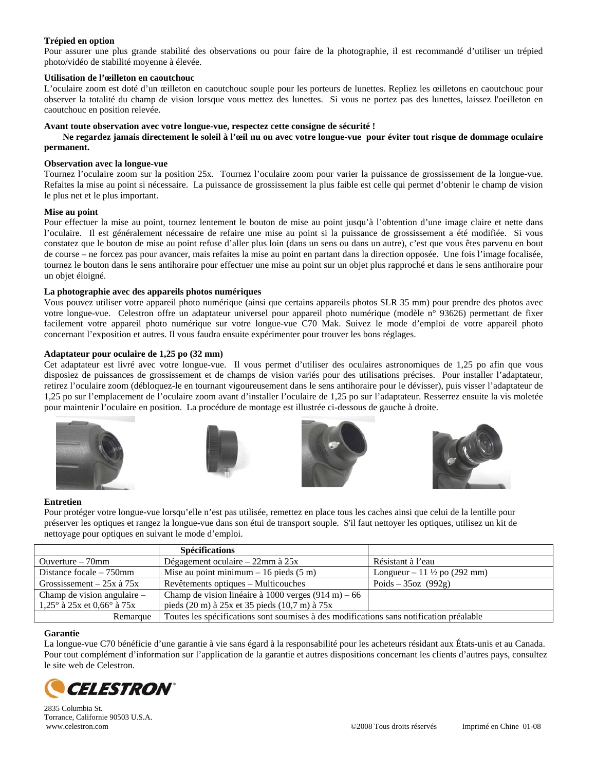## **Trépied en option**

Pour assurer une plus grande stabilité des observations ou pour faire de la photographie, il est recommandé d'utiliser un trépied photo/vidéo de stabilité moyenne à élevée.

## **Utilisation de l'œilleton en caoutchouc**

L'oculaire zoom est doté d'un œilleton en caoutchouc souple pour les porteurs de lunettes. Repliez les œilletons en caoutchouc pour observer la totalité du champ de vision lorsque vous mettez des lunettes. Si vous ne portez pas des lunettes, laissez l'oeilleton en caoutchouc en position relevée.

## **Avant toute observation avec votre longue-vue, respectez cette consigne de sécurité !**

## **Ne regardez jamais directement le soleil à l'œil nu ou avec votre longue-vue pour éviter tout risque de dommage oculaire permanent.**

### **Observation avec la longue-vue**

Tournez l'oculaire zoom sur la position 25x. Tournez l'oculaire zoom pour varier la puissance de grossissement de la longue-vue. Refaites la mise au point si nécessaire. La puissance de grossissement la plus faible est celle qui permet d'obtenir le champ de vision le plus net et le plus important.

#### **Mise au point**

Pour effectuer la mise au point, tournez lentement le bouton de mise au point jusqu'à l'obtention d'une image claire et nette dans l'oculaire. Il est généralement nécessaire de refaire une mise au point si la puissance de grossissement a été modifiée. Si vous constatez que le bouton de mise au point refuse d'aller plus loin (dans un sens ou dans un autre), c'est que vous êtes parvenu en bout de course – ne forcez pas pour avancer, mais refaites la mise au point en partant dans la direction opposée. Une fois l'image focalisée, tournez le bouton dans le sens antihoraire pour effectuer une mise au point sur un objet plus rapproché et dans le sens antihoraire pour un objet éloigné.

#### **La photographie avec des appareils photos numériques**

Vous pouvez utiliser votre appareil photo numérique (ainsi que certains appareils photos SLR 35 mm) pour prendre des photos avec votre longue-vue. Celestron offre un adaptateur universel pour appareil photo numérique (modèle n° 93626) permettant de fixer facilement votre appareil photo numérique sur votre longue-vue C70 Mak. Suivez le mode d'emploi de votre appareil photo concernant l'exposition et autres. Il vous faudra ensuite expérimenter pour trouver les bons réglages.

## **Adaptateur pour oculaire de 1,25 po (32 mm)**

Cet adaptateur est livré avec votre longue-vue. Il vous permet d'utiliser des oculaires astronomiques de 1,25 po afin que vous disposiez de puissances de grossissement et de champs de vision variés pour des utilisations précises. Pour installer l'adaptateur, retirez l'oculaire zoom (débloquez-le en tournant vigoureusement dans le sens antihoraire pour le dévisser), puis visser l'adaptateur de 1,25 po sur l'emplacement de l'oculaire zoom avant d'installer l'oculaire de 1,25 po sur l'adaptateur. Resserrez ensuite la vis moletée pour maintenir l'oculaire en position. La procédure de montage est illustrée ci-dessous de gauche à droite.









#### **Entretien**

Pour protéger votre longue-vue lorsqu'elle n'est pas utilisée, remettez en place tous les caches ainsi que celui de la lentille pour préserver les optiques et rangez la longue-vue dans son étui de transport souple. S'il faut nettoyer les optiques, utilisez un kit de nettoyage pour optiques en suivant le mode d'emploi.

|                                              | <b>Spécifications</b>                                                                   |                                         |
|----------------------------------------------|-----------------------------------------------------------------------------------------|-----------------------------------------|
| Ouverture $-70$ mm                           | Dégagement oculaire $-22$ mm à $25x$                                                    | Résistant à l'eau                       |
| Distance focale $-750$ mm                    | Mise au point minimum $-16$ pieds $(5 \text{ m})$                                       | Longueur – 11 $\frac{1}{2}$ po (292 mm) |
| Grossissement – $25x$ à $75x$                | Revêtements optiques – Multicouches                                                     | Poids $-35oz$ (992g)                    |
| Champ de vision angulaire $-$                | Champ de vision linéaire à 1000 verges $(914 \text{ m}) - 66$                           |                                         |
| 1,25 $\degree$ à 25x et 0,66 $\degree$ à 75x | pieds (20 m) à 25x et 35 pieds (10,7 m) à 75x                                           |                                         |
| Remarque                                     | Toutes les spécifications sont soumises à des modifications sans notification préalable |                                         |

#### **Garantie**

La longue-vue C70 bénéficie d'une garantie à vie sans égard à la responsabilité pour les acheteurs résidant aux États-unis et au Canada. Pour tout complément d'information sur l'application de la garantie et autres dispositions concernant les clients d'autres pays, consultez le site web de Celestron.



2835 Columbia St. Torrance, Californie 90503 U.S.A.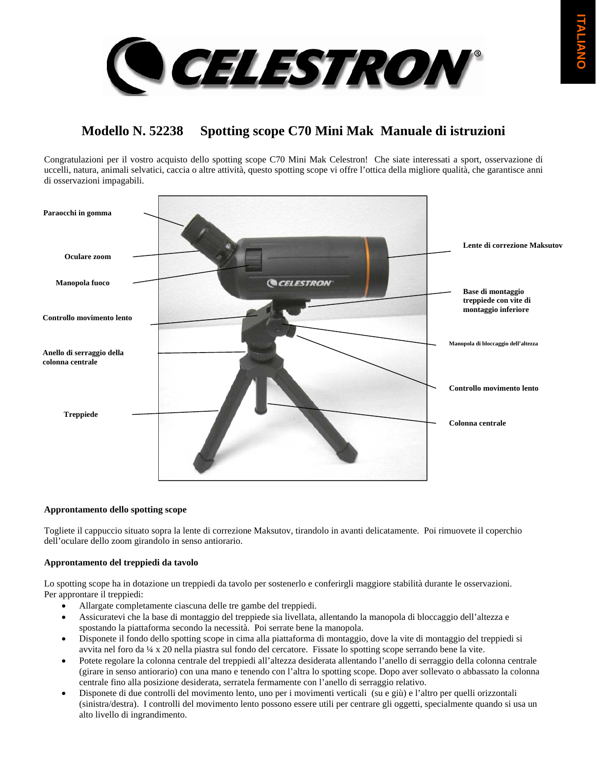

# **Modello N. 52238 Spotting scope C70 Mini Mak Manuale di istruzioni**

Congratulazioni per il vostro acquisto dello spotting scope C70 Mini Mak Celestron! Che siate interessati a sport, osservazione di uccelli, natura, animali selvatici, caccia o altre attività, questo spotting scope vi offre l'ottica della migliore qualità, che garantisce anni di osservazioni impagabili.



# **Approntamento dello spotting scope**

Togliete il cappuccio situato sopra la lente di correzione Maksutov, tirandolo in avanti delicatamente. Poi rimuovete il coperchio dell'oculare dello zoom girandolo in senso antiorario.

# **Approntamento del treppiedi da tavolo**

Lo spotting scope ha in dotazione un treppiedi da tavolo per sostenerlo e conferirgli maggiore stabilità durante le osservazioni. Per approntare il treppiedi:

- Allargate completamente ciascuna delle tre gambe del treppiedi.
- Assicuratevi che la base di montaggio del treppiede sia livellata, allentando la manopola di bloccaggio dell'altezza e spostando la piattaforma secondo la necessità. Poi serrate bene la manopola.
- Disponete il fondo dello spotting scope in cima alla piattaforma di montaggio, dove la vite di montaggio del treppiedi si avvita nel foro da ¼ x 20 nella piastra sul fondo del cercatore. Fissate lo spotting scope serrando bene la vite.
- Potete regolare la colonna centrale del treppiedi all'altezza desiderata allentando l'anello di serraggio della colonna centrale (girare in senso antiorario) con una mano e tenendo con l'altra lo spotting scope. Dopo aver sollevato o abbassato la colonna centrale fino alla posizione desiderata, serratela fermamente con l'anello di serraggio relativo.
- Disponete di due controlli del movimento lento, uno per i movimenti verticali (su e giù) e l'altro per quelli orizzontali (sinistra/destra). I controlli del movimento lento possono essere utili per centrare gli oggetti, specialmente quando si usa un alto livello di ingrandimento.